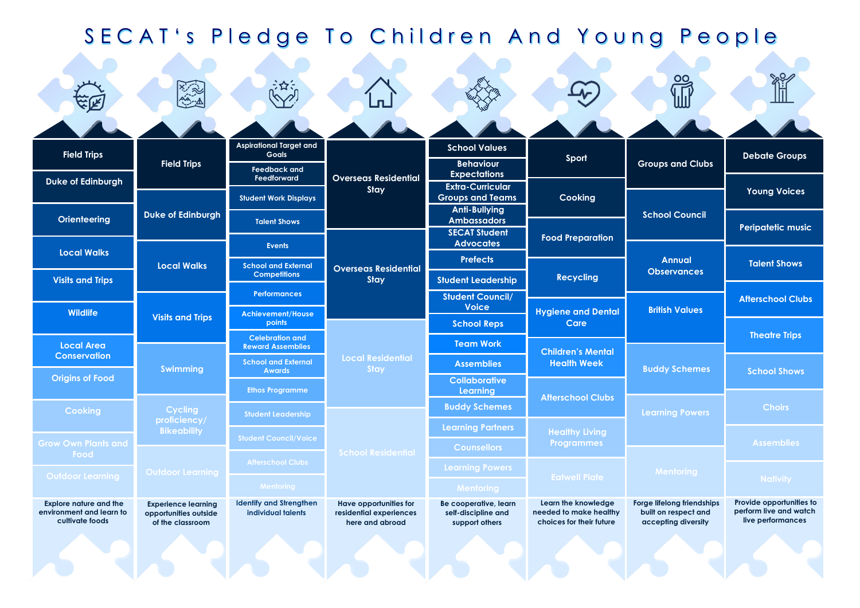| SECAT's Pledge To Children And Young People |                                               |                                                                       |                                            |                                                 |                                                                                                |                                             |                                                       |  |  |  |  |
|---------------------------------------------|-----------------------------------------------|-----------------------------------------------------------------------|--------------------------------------------|-------------------------------------------------|------------------------------------------------------------------------------------------------|---------------------------------------------|-------------------------------------------------------|--|--|--|--|
|                                             | 大家                                            | 永久                                                                    | <u>n</u>                                   |                                                 |                                                                                                | OO<br>III                                   | $\%$                                                  |  |  |  |  |
|                                             |                                               |                                                                       |                                            |                                                 |                                                                                                |                                             |                                                       |  |  |  |  |
| <b>Field Trips</b>                          | <b>Field Trips</b>                            | <b>Aspirational Target and</b><br><b>Goals</b><br><b>Feedback and</b> | <b>Overseas Residential</b><br>Stay        | <b>School Values</b><br><b>Behaviour</b>        | Sport<br>Cooking                                                                               | <b>Groups and Clubs</b>                     | <b>Debate Groups</b>                                  |  |  |  |  |
| <b>Duke of Edinburgh</b>                    |                                               | Feedforward                                                           |                                            | <b>Expectations</b><br><b>Extra-Curricular</b>  |                                                                                                |                                             | <b>Young Voices</b>                                   |  |  |  |  |
|                                             |                                               | <b>Student Work Displays</b>                                          |                                            | <b>Groups and Teams</b><br><b>Anti-Bullying</b> |                                                                                                | <b>School Council</b>                       |                                                       |  |  |  |  |
| <b>Orienteering</b>                         | <b>Duke of Edinburgh</b>                      | <b>Talent Shows</b>                                                   |                                            | <b>Ambassadors</b><br><b>SECAT Student</b>      |                                                                                                |                                             | <b>Peripatetic music</b>                              |  |  |  |  |
| <b>Local Walks</b>                          | <b>Local Walks</b><br><b>Visits and Trips</b> | <b>Events</b>                                                         | <b>Overseas Residential</b><br>Stay        | <b>Advocates</b><br><b>Prefects</b>             | <b>Food Preparation</b><br><b>Recycling</b>                                                    | <b>Annual</b><br><b>Observances</b>         |                                                       |  |  |  |  |
| <b>Visits and Trips</b>                     |                                               | <b>School and External</b><br><b>Competitions</b>                     |                                            | <b>Student Leadership</b>                       |                                                                                                |                                             | <b>Talent Shows</b>                                   |  |  |  |  |
|                                             |                                               | <b>Performances</b>                                                   |                                            | <b>Student Council/</b>                         | <b>Hygiene and Dental</b><br>Care                                                              | <b>British Values</b>                       | <b>Afterschool Clubs</b>                              |  |  |  |  |
| <b>Wildlife</b>                             |                                               | <b>Achievement/House</b><br>points                                    |                                            | <b>Voice</b><br><b>School Reps</b>              |                                                                                                |                                             |                                                       |  |  |  |  |
| <b>Local Area</b>                           | <b>Swimming</b>                               | <b>Celebration and</b><br><b>Reward Assemblies</b>                    | Local Residential<br>Stay                  | <b>Team Work</b>                                | <b>Children's Mental</b><br><b>Health Week</b>                                                 | <b>Buddy Schemes</b>                        | <b>Theatre Trips</b>                                  |  |  |  |  |
| <b>Conservation</b>                         |                                               | <b>School and External</b><br><b>Awards</b>                           |                                            | <b>Assemblies</b>                               |                                                                                                |                                             | <b>School Shows</b>                                   |  |  |  |  |
| <b>Origins of Food</b>                      |                                               | <b>Ethos Programme</b>                                                |                                            | <b>Collaborative</b><br>Learning                |                                                                                                |                                             |                                                       |  |  |  |  |
| <b>Cooking</b>                              | <b>Cycling</b>                                | <b>Student Leadership</b>                                             | School Residential                         | <b>Buddy Schemes</b>                            | <b>Afterschool Clubs</b><br><b>Healthy Living</b><br><b>Programmes</b><br><b>Eatwell Plate</b> | <b>Learning Powers</b><br><b>Mentoring</b>  | <b>Choirs</b><br><b>Assemblies</b><br><b>Nativity</b> |  |  |  |  |
|                                             | proficiency/<br><b>Bikeability</b>            | <b>Student Council/Voice</b>                                          |                                            | <b>Learning Partners</b>                        |                                                                                                |                                             |                                                       |  |  |  |  |
| <b>Grow Own Plants and</b><br>Food          |                                               | <b>Afterschool Clubs</b>                                              |                                            | <b>Counsellors</b>                              |                                                                                                |                                             |                                                       |  |  |  |  |
| <b>Outdoor Learning</b>                     | <b>Outdoor Learning</b>                       |                                                                       |                                            | <b>Learning Powers</b>                          |                                                                                                |                                             |                                                       |  |  |  |  |
| <b>Explore nature and the</b>               | <b>Experience learning</b>                    | <b>Mentoring</b><br><b>Identify and Strengthen</b>                    | <b>Have opportunities for</b>              | <b>Mentoring</b><br>Be cooperative, learn       | Learn the knowledge                                                                            | Forge lifelong friendships                  | Provide opportunities to                              |  |  |  |  |
| environment and learn to<br>cultivate foods | opportunities outside<br>of the classroom     | individual talents                                                    | residential experiences<br>here and abroad | self-discipline and<br>support others           | needed to make healthy<br>choices for their future                                             | built on respect and<br>accepting diversity | perform live and watch<br>live performances           |  |  |  |  |
|                                             |                                               |                                                                       |                                            |                                                 |                                                                                                |                                             |                                                       |  |  |  |  |
|                                             |                                               |                                                                       |                                            |                                                 |                                                                                                |                                             |                                                       |  |  |  |  |